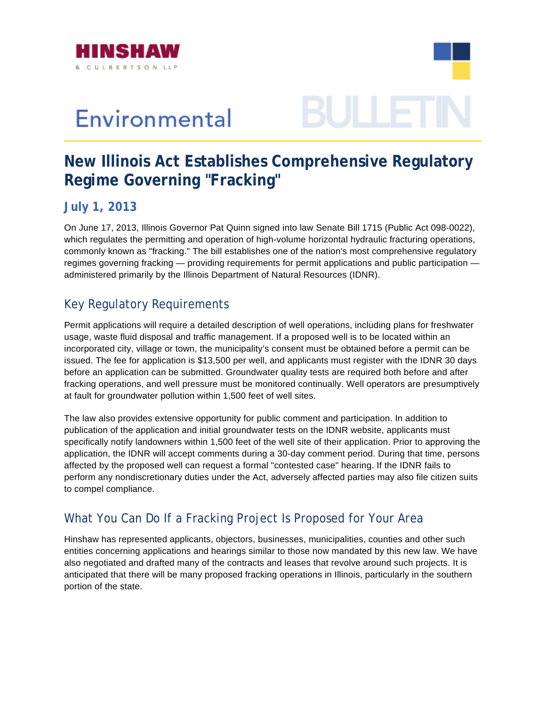

## Environmental

# 3ULLE

### **New Illinois Act Establishes Comprehensive Regulatory Regime Governing "Fracking"**

#### **July 1, 2013**

regimes governing fracking — providing requirements for permit applications and public participation administered primarily by the Illinois Department of Natural Resources (IDNR). On June 17, 2013, Illinois Governor Pat Quinn signed into law Senate Bill 1715 (Public Act 098-0022), which regulates the permitting and operation of high-volume horizontal hydraulic fracturing operations, commonly known as "fracking." The bill establishes one of the nation's most comprehensive regulatory

#### Key Regulatory Requirements

fracking operations, and well pressure must be monitored continually. Well operators are presumptively Permit applications will require a detailed description of well operations, including plans for freshwater usage, waste fluid disposal and traffic management. If a proposed well is to be located within an incorporated city, village or town, the municipality's consent must be obtained before a permit can be issued. The fee for application is \$13,500 per well, and applicants must register with the IDNR 30 days before an application can be submitted. Groundwater quality tests are required both before and after at fault for groundwater pollution within 1,500 feet of well sites.

specifically notify landowners within 1,500 feet of the well site of their application. Prior to approving the affected by the proposed well can request a formal "contested case" hearing. If the IDNR fails to perform any nondiscretionary duties under the Act, adversely affected parties may also file citizen suits The law also provides extensive opportunity for public comment and participation. In addition to publication of the application and initial groundwater tests on the IDNR website, applicants must application, the IDNR will accept comments during a 30-day comment period. During that time, persons to compel compliance.

#### What You Can Do If a Fracking Project Is Proposed for Your Area

also negotiated and drafted many of the contracts and leases that revolve around such projects. It is anticipated that there will be many proposed fracking operations in Illinois, particularly in the southern Hinshaw has represented applicants, objectors, businesses, municipalities, counties and other such entities concerning applications and hearings similar to those now mandated by this new law. We have portion of the state.